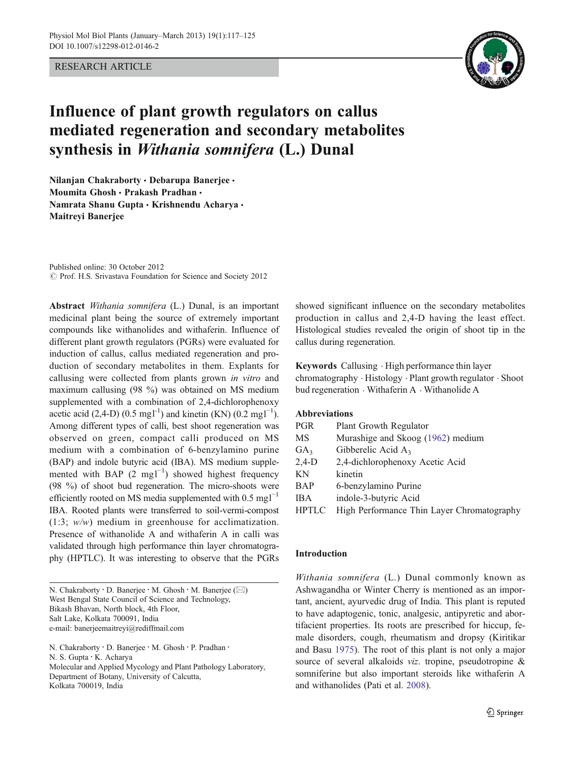# RESEARCH ARTICLE



# Influence of plant growth regulators on callus mediated regeneration and secondary metabolites synthesis in Withania somnifera (L.) Dunal

Nilanjan Chakraborty · Debarupa Banerjee · Moumita Ghosh · Prakash Pradhan · Namrata Shanu Gupta · Krishnendu Acharya · Maitreyi Banerjee

Published online: 30 October 2012  $\odot$  Prof. H.S. Srivastava Foundation for Science and Society 2012

Abstract Withania somnifera (L.) Dunal, is an important medicinal plant being the source of extremely important compounds like withanolides and withaferin. Influence of different plant growth regulators (PGRs) were evaluated for induction of callus, callus mediated regeneration and production of secondary metabolites in them. Explants for callusing were collected from plants grown in vitro and maximum callusing (98 %) was obtained on MS medium supplemented with a combination of 2,4-dichlorophenoxy acetic acid (2,4-D) (0.5 mgl<sup>-1</sup>) and kinetin (KN) (0.2 mgl<sup>-1</sup>). Among different types of calli, best shoot regeneration was observed on green, compact calli produced on MS medium with a combination of 6-benzylamino purine (BAP) and indole butyric acid (IBA). MS medium supplemented with BAP (2 mgl<sup>-1</sup>) showed highest frequency (98 %) of shoot bud regeneration. The micro-shoots were efficiently rooted on MS media supplemented with  $0.5 \text{ mg}$ <sup>-1</sup> IBA. Rooted plants were transferred to soil-vermi-compost  $(1:3; w/w)$  medium in greenhouse for acclimatization. Presence of withanolide A and withaferin A in calli was validated through high performance thin layer chromatography (HPTLC). It was interesting to observe that the PGRs

```
N. Chakraborty · D. Banerjee · M. Ghosh · M. Banerjee (\boxtimes)
West Bengal State Council of Science and Technology,
Bikash Bhavan, North block, 4th Floor,
Salt Lake, Kolkata 700091, India
e-mail: banerjeemaitreyi@rediffmail.com
```
N. Chakraborty : D. Banerjee : M. Ghosh : P. Pradhan : N. S. Gupta : K. Acharya Molecular and Applied Mycology and Plant Pathology Laboratory, Department of Botany, University of Calcutta, Kolkata 700019, India

showed significant influence on the secondary metabolites production in callus and 2,4-D having the least effect. Histological studies revealed the origin of shoot tip in the callus during regeneration.

Keywords Callusing . High performance thin layer chromatography . Histology . Plant growth regulator . Shoot bud regeneration . Withaferin A . Withanolide A

# Abbreviations

| <b>PGR</b>      | Plant Growth Regulator                     |
|-----------------|--------------------------------------------|
| MS              | Murashige and Skoog (1962) medium          |
| GA <sub>3</sub> | Gibberelic Acid $A_3$                      |
| $2,4-D$         | 2.4-dichlorophenoxy Acetic Acid            |
| KN              | kinetin                                    |
| <b>BAP</b>      | 6-benzylamino Purine                       |
| <b>IBA</b>      | indole-3-butyric Acid                      |
| <b>HPTLC</b>    | High Performance Thin Layer Chromatography |
|                 |                                            |

# Introduction

Withania somnifera (L.) Dunal commonly known as Ashwagandha or Winter Cherry is mentioned as an important, ancient, ayurvedic drug of India. This plant is reputed to have adaptogenic, tonic, analgesic, antipyretic and abortifacient properties. Its roots are prescribed for hiccup, female disorders, cough, rheumatism and dropsy (Kiritikar and Basu [1975](#page-7-0)). The root of this plant is not only a major source of several alkaloids viz. tropine, pseudotropine & somniferine but also important steroids like withaferin A and withanolides (Pati et al. [2008](#page-7-0)).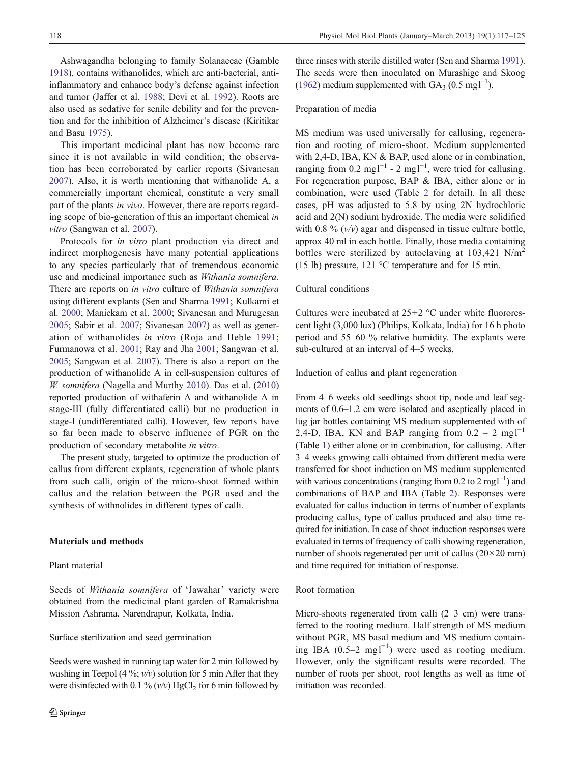Ashwagandha belonging to family Solanaceae (Gamble [1918\)](#page-7-0), contains withanolides, which are anti-bacterial, antiinflammatory and enhance body's defense against infection and tumor (Jaffer et al. [1988;](#page-7-0) Devi et al. [1992](#page-7-0)). Roots are also used as sedative for senile debility and for the prevention and for the inhibition of Alzheimer's disease (Kiritikar and Basu [1975](#page-7-0)).

This important medicinal plant has now become rare since it is not available in wild condition; the observation has been corroborated by earlier reports (Sivanesan [2007\)](#page-8-0). Also, it is worth mentioning that withanolide A, a commercially important chemical, constitute a very small part of the plants in vivo. However, there are reports regarding scope of bio-generation of this an important chemical in vitro (Sangwan et al. [2007](#page-8-0)).

Protocols for in vitro plant production via direct and indirect morphogenesis have many potential applications to any species particularly that of tremendous economic use and medicinal importance such as Withania somnifera. There are reports on in vitro culture of Withania somnifera using different explants (Sen and Sharma [1991;](#page-8-0) Kulkarni et al. [2000;](#page-7-0) Manickam et al. [2000;](#page-7-0) Sivanesan and Murugesan [2005;](#page-8-0) Sabir et al. [2007;](#page-7-0) Sivanesan [2007](#page-8-0)) as well as generation of withanolides in vitro (Roja and Heble [1991](#page-7-0); Furmanowa et al. [2001;](#page-7-0) Ray and Jha [2001;](#page-7-0) Sangwan et al. [2005;](#page-7-0) Sangwan et al. [2007\)](#page-8-0). There is also a report on the production of withanolide A in cell-suspension cultures of W. somnifera (Nagella and Murthy [2010](#page-7-0)). Das et al. ([2010\)](#page-7-0) reported production of withaferin A and withanolide A in stage-III (fully differentiated calli) but no production in stage-I (undifferentiated calli). However, few reports have so far been made to observe influence of PGR on the production of secondary metabolite in vitro.

The present study, targeted to optimize the production of callus from different explants, regeneration of whole plants from such calli, origin of the micro-shoot formed within callus and the relation between the PGR used and the synthesis of withnolides in different types of calli.

## Materials and methods

# Plant material

Seeds of Withania somnifera of 'Jawahar' variety were obtained from the medicinal plant garden of Ramakrishna Mission Ashrama, Narendrapur, Kolkata, India.

## Surface sterilization and seed germination

Seeds were washed in running tap water for 2 min followed by washing in Teepol (4 %;  $v/v$ ) solution for 5 min After that they were disinfected with 0.1 %  $(v/v)$  HgCl<sub>2</sub> for 6 min followed by

three rinses with sterile distilled water (Sen and Sharma [1991\)](#page-8-0). The seeds were then inoculated on Murashige and Skoog [\(1962\)](#page-7-0) medium supplemented with  $GA_3$  (0.5 mgl<sup>-1</sup>).

# Preparation of media

MS medium was used universally for callusing, regeneration and rooting of micro-shoot. Medium supplemented with 2,4-D, IBA, KN & BAP, used alone or in combination, ranging from 0.2 mgl<sup>-1</sup> - 2 mgl<sup>-1</sup>, were tried for callusing. For regeneration purpose, BAP & IBA, either alone or in combination, were used (Table [2](#page-2-0) for detail). In all these cases, pH was adjusted to 5.8 by using 2N hydrochloric acid and 2(N) sodium hydroxide. The media were solidified with 0.8 %  $(v/v)$  agar and dispensed in tissue culture bottle, approx 40 ml in each bottle. Finally, those media containing bottles were sterilized by autoclaving at  $103,421$  N/m<sup>2</sup> (15 lb) pressure, 121 °C temperature and for 15 min.

## Cultural conditions

Cultures were incubated at  $25\pm2$  °C under white fluororescent light (3,000 lux) (Philips, Kolkata, India) for 16 h photo period and 55–60 % relative humidity. The explants were sub-cultured at an interval of 4–5 weeks.

Induction of callus and plant regeneration

From 4–6 weeks old seedlings shoot tip, node and leaf segments of 0.6–1.2 cm were isolated and aseptically placed in lug jar bottles containing MS medium supplemented with of 2,4-D, IBA, KN and BAP ranging from  $0.2 - 2$  mg  $I^{-1}$ (Table [1\)](#page-2-0) either alone or in combination, for callusing. After 3–4 weeks growing calli obtained from different media were transferred for shoot induction on MS medium supplemented with various concentrations (ranging from 0.2 to  $2 \text{ mg} 1^{-1}$ ) and combinations of BAP and IBA (Table [2\)](#page-2-0). Responses were evaluated for callus induction in terms of number of explants producing callus, type of callus produced and also time required for initiation. In case of shoot induction responses were evaluated in terms of frequency of calli showing regeneration, number of shoots regenerated per unit of callus  $(20 \times 20 \text{ mm})$ and time required for initiation of response.

## Root formation

Micro-shoots regenerated from calli (2–3 cm) were transferred to the rooting medium. Half strength of MS medium without PGR, MS basal medium and MS medium containing IBA  $(0.5-2 \text{ mg}1^{-1})$  were used as rooting medium. However, only the significant results were recorded. The number of roots per shoot, root lengths as well as time of initiation was recorded.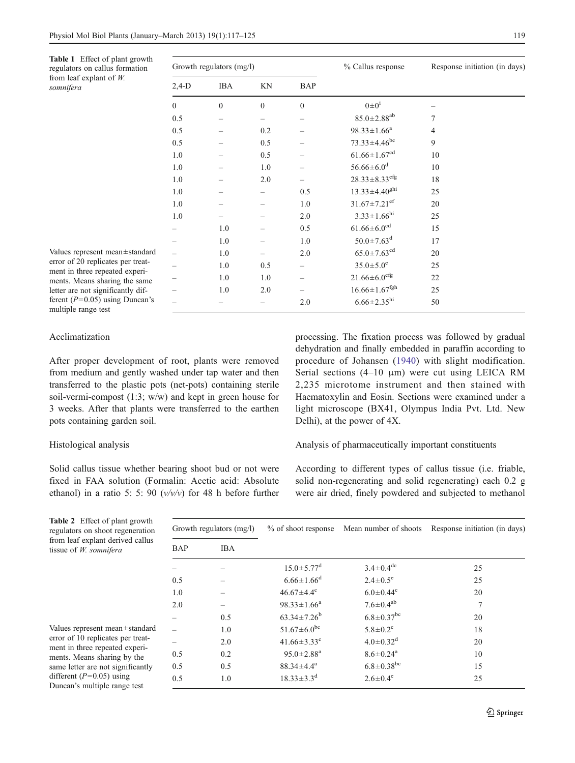<span id="page-2-0"></span>

| Table 1 Effect of plant growth<br>regulators on callus formation<br>from leaf explant of $W$ .<br>somnifera                                                                                          | Growth regulators (mg/l) |            |          |          | % Callus response               | Response initiation (in days) |
|------------------------------------------------------------------------------------------------------------------------------------------------------------------------------------------------------|--------------------------|------------|----------|----------|---------------------------------|-------------------------------|
|                                                                                                                                                                                                      | $2,4-D$                  | <b>IBA</b> | KN       | BAP      |                                 |                               |
|                                                                                                                                                                                                      | $\theta$                 | $\theta$   | $\Omega$ | $\theta$ | $0\pm 0^{\rm i}$                |                               |
|                                                                                                                                                                                                      | 0.5                      |            |          |          | $85.0 \pm 2.88$ <sup>ab</sup>   | 7                             |
|                                                                                                                                                                                                      | 0.5                      |            | 0.2      |          | $98.33 \pm 1.66^a$              | 4                             |
|                                                                                                                                                                                                      | 0.5                      |            | 0.5      |          | $73.33 \pm 4.46$ <sup>bc</sup>  | 9                             |
|                                                                                                                                                                                                      | 1.0                      |            | 0.5      |          | $61.66 \pm 1.67$ <sup>cd</sup>  | 10                            |
|                                                                                                                                                                                                      | 1.0                      |            | 1.0      |          | $56.66 \pm 6.0^d$               | 10                            |
|                                                                                                                                                                                                      | 1.0                      |            | 2.0      |          | $28.33 \pm 8.33$ <sup>efg</sup> | 18                            |
|                                                                                                                                                                                                      | 1.0                      |            |          | 0.5      | $13.33 \pm 4.40^{ghi}$          | 25                            |
|                                                                                                                                                                                                      | 1.0                      |            |          | 1.0      | $31.67 \pm 7.21$ <sup>ef</sup>  | 20                            |
|                                                                                                                                                                                                      | 1.0                      |            |          | 2.0      | $3.33 \pm 1.66^{\text{hi}}$     | 25                            |
|                                                                                                                                                                                                      |                          | 1.0        |          | 0.5      | $61.66 \pm 6.0$ <sup>cd</sup>   | 15                            |
|                                                                                                                                                                                                      |                          | 1.0        |          | 1.0      | $50.0 \pm 7.63^d$               | 17                            |
| Values represent mean±standard                                                                                                                                                                       |                          | 1.0        |          | 2.0      | $65.0 \pm 7.63$ <sup>cd</sup>   | 20                            |
| error of 20 replicates per treat-<br>ment in three repeated experi-<br>ments. Means sharing the same<br>letter are not significantly dif-<br>ferent $(P=0.05)$ using Duncan's<br>multiple range test |                          | 1.0        | 0.5      |          | $35.0 \pm 5.0^e$                | 25                            |
|                                                                                                                                                                                                      |                          | 1.0        | 1.0      |          | $21.66 \pm 6.0$ <sup>efg</sup>  | 22                            |
|                                                                                                                                                                                                      |                          | 1.0        | 2.0      |          | $16.66 \pm 1.67$ <sup>fgh</sup> | 25                            |
|                                                                                                                                                                                                      |                          |            |          | 2.0      | $6.66 \pm 2.35$ hi              | 50                            |

# Acclimatization

After proper development of root, plants were removed from medium and gently washed under tap water and then transferred to the plastic pots (net-pots) containing sterile soil-vermi-compost (1:3; w/w) and kept in green house for 3 weeks. After that plants were transferred to the earthen pots containing garden soil.

#### Histological analysis

Solid callus tissue whether bearing shoot bud or not were fixed in FAA solution (Formalin: Acetic acid: Absolute ethanol) in a ratio 5: 5: 90  $(v/v/v)$  for 48 h before further processing. The fixation process was followed by gradual dehydration and finally embedded in paraffin according to procedure of Johansen ([1940](#page-7-0)) with slight modification. Serial sections (4–10 μm) were cut using LEICA RM 2,235 microtome instrument and then stained with Haematoxylin and Eosin. Sections were examined under a light microscope (BX41, Olympus India Pvt. Ltd. New Delhi), at the power of 4X.

## Analysis of pharmaceutically important constituents

According to different types of callus tissue (i.e. friable, solid non-regenerating and solid regenerating) each 0.2 g were air dried, finely powdered and subjected to methanol

Table 2 Effect of plant growth regulators on shoot regeneration from leaf explant derived callus tissue of W. somnifera

Values represent mean±standard error of 10 replicates per treatment in three repeated experiments. Means sharing by the same letter are not significantly different ( $P=0.05$ ) using Duncan's multiple range test

| Growth regulators (mg/l) |            |                               |                              | % of shoot response Mean number of shoots Response initiation (in days) |
|--------------------------|------------|-------------------------------|------------------------------|-------------------------------------------------------------------------|
| BAP                      | <b>IBA</b> |                               |                              |                                                                         |
|                          |            | $15.0 \pm 5.77$ <sup>d</sup>  | $3.4 \pm 0.4$ <sup>dc</sup>  | 25                                                                      |
| 0.5                      |            | $6.66 \pm 1.66$ <sup>d</sup>  | $2.4 \pm 0.5^e$              | 25                                                                      |
| 1.0                      |            | $46.67 \pm 4.4$ °             | $6.0 \pm 0.44$ <sup>c</sup>  | 20                                                                      |
| 2.0                      |            | $98.33 \pm 1.66^a$            | $7.6 \pm 0.4^{ab}$           | 7                                                                       |
|                          | 0.5        | $63.34 \pm 7.26^b$            | $6.8 \pm 0.37$ <sup>bc</sup> | 20                                                                      |
|                          | 1.0        | $51.67 \pm 6.0^{\rm bc}$      | $5.8 \pm 0.2$ <sup>c</sup>   | 18                                                                      |
|                          | 2.0        | $41.66 \pm 3.33$ <sup>c</sup> | $4.0 \pm 0.32$ <sup>d</sup>  | 20                                                                      |
| 0.5                      | 0.2        | $95.0 \pm 2.88$ <sup>a</sup>  | $8.6 \pm 0.24$ <sup>a</sup>  | 10                                                                      |
| 0.5                      | 0.5        | $88.34 \pm 4.4^a$             | $6.8 \pm 0.38$ bc            | 15                                                                      |
| 0.5                      | 1.0        | $18.33 \pm 3.3^d$             | $2.6 \pm 0.4^e$              | 25                                                                      |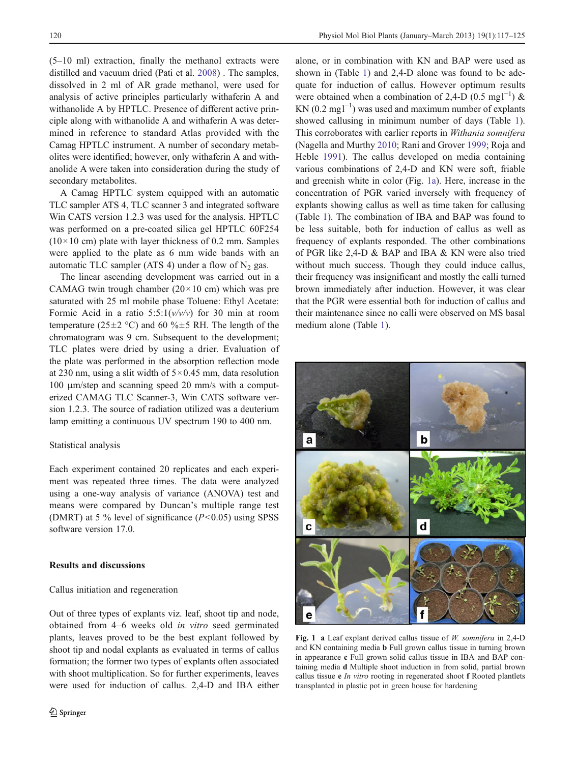<span id="page-3-0"></span>(5–10 ml) extraction, finally the methanol extracts were distilled and vacuum dried (Pati et al. [2008\)](#page-7-0) . The samples, dissolved in 2 ml of AR grade methanol, were used for analysis of active principles particularly withaferin A and withanolide A by HPTLC. Presence of different active principle along with withanolide A and withaferin A was determined in reference to standard Atlas provided with the Camag HPTLC instrument. A number of secondary metabolites were identified; however, only withaferin A and withanolide A were taken into consideration during the study of secondary metabolites.

A Camag HPTLC system equipped with an automatic TLC sampler ATS 4, TLC scanner 3 and integrated software Win CATS version 1.2.3 was used for the analysis. HPTLC was performed on a pre-coated silica gel HPTLC 60F254  $(10\times10$  cm) plate with layer thickness of 0.2 mm. Samples were applied to the plate as 6 mm wide bands with an automatic TLC sampler (ATS 4) under a flow of  $N_2$  gas.

The linear ascending development was carried out in a CAMAG twin trough chamber  $(20 \times 10 \text{ cm})$  which was pre saturated with 25 ml mobile phase Toluene: Ethyl Acetate: Formic Acid in a ratio  $5:5:1(v/v/v)$  for 30 min at room temperature (25 $\pm$ 2 °C) and 60 % $\pm$ 5 RH. The length of the chromatogram was 9 cm. Subsequent to the development; TLC plates were dried by using a drier. Evaluation of the plate was performed in the absorption reflection mode at 230 nm, using a slit width of  $5 \times 0.45$  mm, data resolution 100 μm/step and scanning speed 20 mm/s with a computerized CAMAG TLC Scanner-3, Win CATS software version 1.2.3. The source of radiation utilized was a deuterium lamp emitting a continuous UV spectrum 190 to 400 nm.

#### Statistical analysis

Each experiment contained 20 replicates and each experiment was repeated three times. The data were analyzed using a one-way analysis of variance (ANOVA) test and means were compared by Duncan's multiple range test (DMRT) at 5 % level of significance  $(P<0.05)$  using SPSS software version 17.0.

# Results and discussions

#### Callus initiation and regeneration

Out of three types of explants viz. leaf, shoot tip and node, obtained from 4–6 weeks old in vitro seed germinated plants, leaves proved to be the best explant followed by shoot tip and nodal explants as evaluated in terms of callus formation; the former two types of explants often associated with shoot multiplication. So for further experiments, leaves were used for induction of callus. 2,4-D and IBA either alone, or in combination with KN and BAP were used as shown in (Table [1\)](#page-2-0) and 2,4-D alone was found to be adequate for induction of callus. However optimum results were obtained when a combination of 2,4-D (0.5 mgl<sup>-1</sup>) & KN (0.2 mg $l^{-1}$ ) was used and maximum number of explants showed callusing in minimum number of days (Table [1\)](#page-2-0). This corroborates with earlier reports in Withania somnifera (Nagella and Murthy [2010;](#page-7-0) Rani and Grover [1999;](#page-7-0) Roja and Heble [1991\)](#page-7-0). The callus developed on media containing various combinations of 2,4-D and KN were soft, friable and greenish white in color (Fig. 1a). Here, increase in the concentration of PGR varied inversely with frequency of explants showing callus as well as time taken for callusing (Table [1](#page-2-0)). The combination of IBA and BAP was found to be less suitable, both for induction of callus as well as frequency of explants responded. The other combinations of PGR like 2,4-D & BAP and IBA & KN were also tried without much success. Though they could induce callus, their frequency was insignificant and mostly the calli turned brown immediately after induction. However, it was clear that the PGR were essential both for induction of callus and their maintenance since no calli were observed on MS basal medium alone (Table [1](#page-2-0)).



Fig. 1 a Leaf explant derived callus tissue of *W. somnifera* in 2,4-D and KN containing media b Full grown callus tissue in turning brown in appearance c Full grown solid callus tissue in IBA and BAP containing media d Multiple shoot induction in from solid, partial brown callus tissue e In vitro rooting in regenerated shoot f Rooted plantlets transplanted in plastic pot in green house for hardening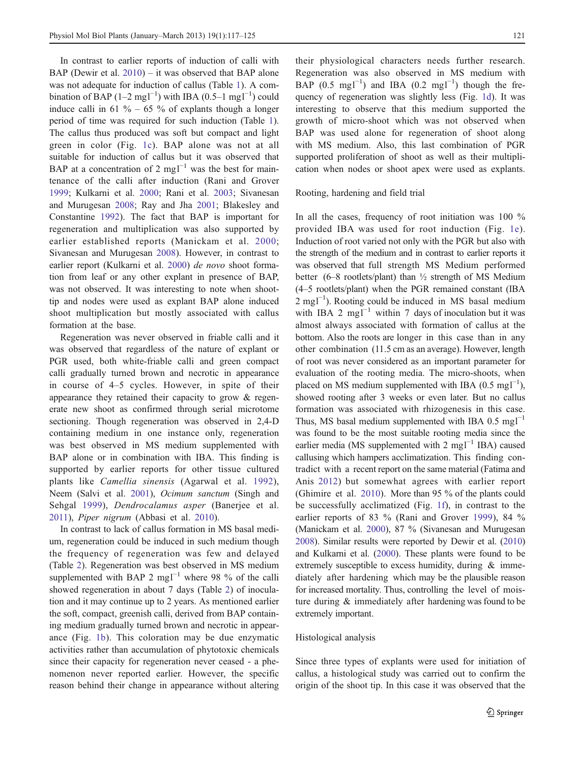In contrast to earlier reports of induction of calli with BAP (Dewir et al. [2010](#page-7-0)) – it was observed that BAP alone was not adequate for induction of callus (Table [1\)](#page-2-0). A combination of BAP (1–2 mgl<sup>-1</sup>) with IBA (0.5–1 mgl<sup>-1</sup>) could induce calli in 61  $\%$  – 65  $\%$  of explants though a longer period of time was required for such induction (Table [1](#page-2-0)). The callus thus produced was soft but compact and light green in color (Fig. [1c\)](#page-3-0). BAP alone was not at all suitable for induction of callus but it was observed that BAP at a concentration of 2 mgl<sup> $-1$ </sup> was the best for maintenance of the calli after induction (Rani and Grover [1999;](#page-7-0) Kulkarni et al. [2000](#page-7-0); Rani et al. [2003;](#page-7-0) Sivanesan and Murugesan [2008](#page-8-0); Ray and Jha [2001;](#page-7-0) Blakesley and Constantine [1992\)](#page-7-0). The fact that BAP is important for regeneration and multiplication was also supported by earlier established reports (Manickam et al. [2000](#page-7-0); Sivanesan and Murugesan [2008](#page-8-0)). However, in contrast to earlier report (Kulkarni et al. [2000\)](#page-7-0) de novo shoot formation from leaf or any other explant in presence of BAP, was not observed. It was interesting to note when shoottip and nodes were used as explant BAP alone induced shoot multiplication but mostly associated with callus formation at the base.

Regeneration was never observed in friable calli and it was observed that regardless of the nature of explant or PGR used, both white-friable calli and green compact calli gradually turned brown and necrotic in appearance in course of 4–5 cycles. However, in spite of their appearance they retained their capacity to grow & regenerate new shoot as confirmed through serial microtome sectioning. Though regeneration was observed in 2,4-D containing medium in one instance only, regeneration was best observed in MS medium supplemented with BAP alone or in combination with IBA. This finding is supported by earlier reports for other tissue cultured plants like Camellia sinensis (Agarwal et al. [1992](#page-7-0)), Neem (Salvi et al. [2001](#page-7-0)), Ocimum sanctum (Singh and Sehgal [1999](#page-8-0)), Dendrocalamus asper (Banerjee et al. [2011\)](#page-7-0), Piper nigrum (Abbasi et al. [2010\)](#page-7-0).

In contrast to lack of callus formation in MS basal medium, regeneration could be induced in such medium though the frequency of regeneration was few and delayed (Table [2\)](#page-2-0). Regeneration was best observed in MS medium supplemented with BAP 2 mgl<sup>-1</sup> where 98 % of the calli showed regeneration in about 7 days (Table [2](#page-2-0)) of inoculation and it may continue up to 2 years. As mentioned earlier the soft, compact, greenish calli, derived from BAP containing medium gradually turned brown and necrotic in appearance (Fig. [1b\)](#page-3-0). This coloration may be due enzymatic activities rather than accumulation of phytotoxic chemicals since their capacity for regeneration never ceased - a phenomenon never reported earlier. However, the specific reason behind their change in appearance without altering

their physiological characters needs further research. Regeneration was also observed in MS medium with BAP (0.5 mgl<sup>-1</sup>) and IBA (0.2 mgl<sup>-1</sup>) though the frequency of regeneration was slightly less (Fig. [1d](#page-3-0)). It was interesting to observe that this medium supported the growth of micro-shoot which was not observed when BAP was used alone for regeneration of shoot along with MS medium. Also, this last combination of PGR supported proliferation of shoot as well as their multiplication when nodes or shoot apex were used as explants.

Rooting, hardening and field trial

In all the cases, frequency of root initiation was 100 % provided IBA was used for root induction (Fig. [1e](#page-3-0)). Induction of root varied not only with the PGR but also with the strength of the medium and in contrast to earlier reports it was observed that full strength MS Medium performed better (6–8 rootlets/plant) than  $\frac{1}{2}$  strength of MS Medium (4–5 rootlets/plant) when the PGR remained constant (IBA 2 mgl<sup>-1</sup>). Rooting could be induced in MS basal medium with IBA 2 mgl<sup> $-1$ </sup> within 7 days of inoculation but it was almost always associated with formation of callus at the bottom. Also the roots are longer in this case than in any other combination (11.5 cm as an average). However, length of root was never considered as an important parameter for evaluation of the rooting media. The micro-shoots, when placed on MS medium supplemented with IBA  $(0.5 \text{ mg}1^{-1})$ , showed rooting after 3 weeks or even later. But no callus formation was associated with rhizogenesis in this case. Thus, MS basal medium supplemented with IBA  $0.5 \text{ mg}$ <sup>-1</sup> was found to be the most suitable rooting media since the earlier media (MS supplemented with 2 mgl<sup> $-1$ </sup> IBA) caused callusing which hampers acclimatization. This finding contradict with a recent report on the same material (Fatima and Anis [2012](#page-7-0)) but somewhat agrees with earlier report (Ghimire et al. [2010](#page-7-0)). More than 95 % of the plants could be successfully acclimatized (Fig. [1f](#page-3-0)), in contrast to the earlier reports of 83 % (Rani and Grover [1999\)](#page-7-0), 84 % (Manickam et al. [2000](#page-7-0)), 87 % (Sivanesan and Murugesan [2008\)](#page-8-0). Similar results were reported by Dewir et al. [\(2010](#page-7-0)) and Kulkarni et al. [\(2000\)](#page-7-0). These plants were found to be extremely susceptible to excess humidity, during & immediately after hardening which may be the plausible reason for increased mortality. Thus, controlling the level of moisture during & immediately after hardening was found to be extremely important.

## Histological analysis

Since three types of explants were used for initiation of callus, a histological study was carried out to confirm the origin of the shoot tip. In this case it was observed that the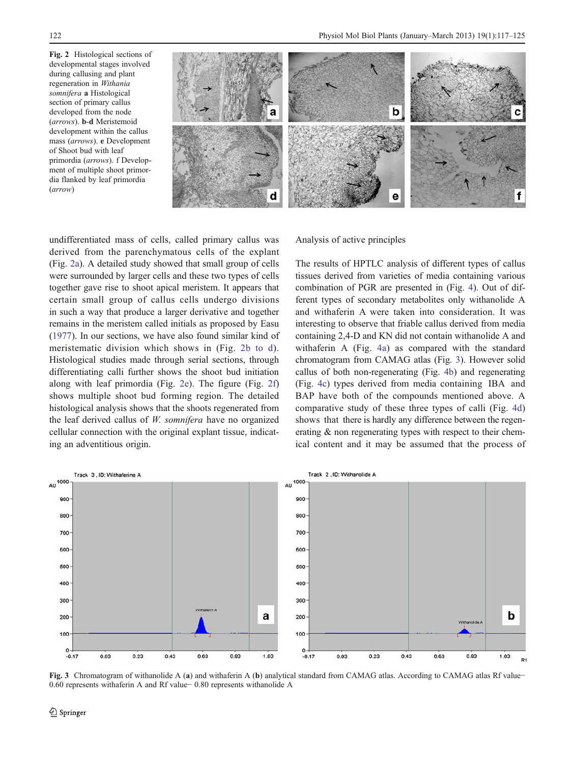Fig. 2 Histological sections of developmental stages involved during callusing and plant regeneration in Withania somnifera a Histological section of primary callus developed from the node (arrows). b-d Meristemoid development within the callus mass (arrows). e Development of Shoot bud with leaf primordia (arrows). f Development of multiple shoot primordia flanked by leaf primordia (arrow)



undifferentiated mass of cells, called primary callus was derived from the parenchymatous cells of the explant (Fig. 2a). A detailed study showed that small group of cells were surrounded by larger cells and these two types of cells together gave rise to shoot apical meristem. It appears that certain small group of callus cells undergo divisions in such a way that produce a larger derivative and together remains in the meristem called initials as proposed by Easu [\(1977](#page-7-0)). In our sections, we have also found similar kind of meristematic division which shows in (Fig. 2b to d). Histological studies made through serial sections, through differentiating calli further shows the shoot bud initiation along with leaf primordia (Fig. 2e). The figure (Fig. 2f) shows multiple shoot bud forming region. The detailed histological analysis shows that the shoots regenerated from the leaf derived callus of  $W$ . somnifera have no organized cellular connection with the original explant tissue, indicating an adventitious origin.

# Analysis of active principles

The results of HPTLC analysis of different types of callus tissues derived from varieties of media containing various combination of PGR are presented in (Fig. [4](#page-6-0)). Out of different types of secondary metabolites only withanolide A and withaferin A were taken into consideration. It was interesting to observe that friable callus derived from media containing 2,4-D and KN did not contain withanolide A and withaferin A (Fig. [4a](#page-6-0)) as compared with the standard chromatogram from CAMAG atlas (Fig. 3). However solid callus of both non-regenerating (Fig. [4b](#page-6-0)) and regenerating (Fig. [4c\)](#page-6-0) types derived from media containing IBA and BAP have both of the compounds mentioned above. A comparative study of these three types of calli (Fig. [4d](#page-6-0)) shows that there is hardly any difference between the regenerating & non regenerating types with respect to their chemical content and it may be assumed that the process of



Fig. 3 Chromatogram of withanolide A (a) and withaferin A (b) analytical standard from CAMAG atlas. According to CAMAG atlas Rf value− 0.60 represents withaferin A and Rf value− 0.80 represents withanolide A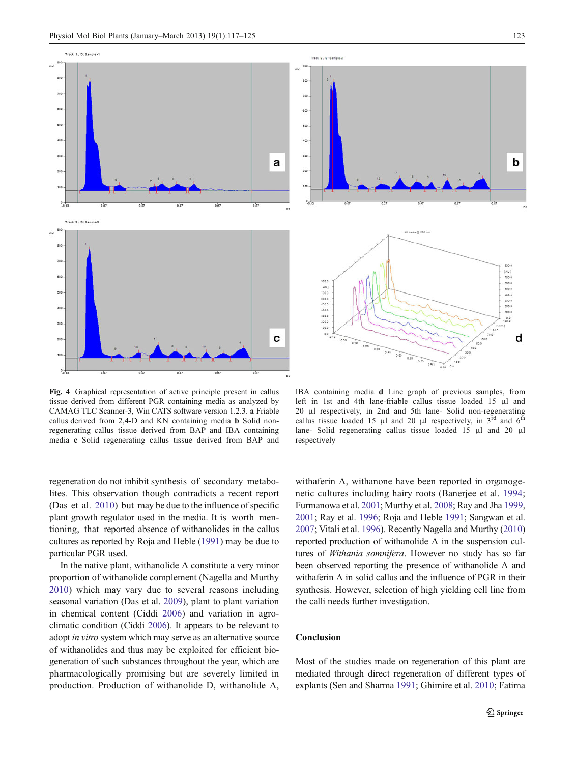

<span id="page-6-0"></span>

Fig. 4 Graphical representation of active principle present in callus tissue derived from different PGR containing media as analyzed by CAMAG TLC Scanner-3, Win CATS software version 1.2.3. a Friable callus derived from 2,4-D and KN containing media b Solid nonregenerating callus tissue derived from BAP and IBA containing media c Solid regenerating callus tissue derived from BAP and

IBA containing media d Line graph of previous samples, from left in 1st and 4th lane-friable callus tissue loaded 15 μl and 20 μl respectively, in 2nd and 5th lane- Solid non-regenerating callus tissue loaded 15 μl and 20 μl respectively, in  $3<sup>rd</sup>$  and  $6<sup>th</sup>$ lane- Solid regenerating callus tissue loaded 15 μl and 20 μl respectively

regeneration do not inhibit synthesis of secondary metabolites. This observation though contradicts a recent report (Das et al. [2010\)](#page-7-0) but may be due to the influence of specific plant growth regulator used in the media. It is worth mentioning, that reported absence of withanolides in the callus cultures as reported by Roja and Heble [\(1991\)](#page-7-0) may be due to particular PGR used.

In the native plant, withanolide A constitute a very minor proportion of withanolide complement (Nagella and Murthy [2010](#page-7-0)) which may vary due to several reasons including seasonal variation (Das et al. [2009](#page-7-0)), plant to plant variation in chemical content (Ciddi [2006\)](#page-7-0) and variation in agroclimatic condition (Ciddi [2006\)](#page-7-0). It appears to be relevant to adopt in vitro system which may serve as an alternative source of withanolides and thus may be exploited for efficient biogeneration of such substances throughout the year, which are pharmacologically promising but are severely limited in production. Production of withanolide D, withanolide A, withaferin A, withanone have been reported in organogenetic cultures including hairy roots (Banerjee et al. [1994;](#page-7-0) Furmanowa et al. [2001](#page-7-0); Murthy et al. [2008](#page-7-0); Ray and Jha [1999,](#page-7-0) [2001;](#page-7-0) Ray et al. [1996](#page-7-0); Roja and Heble [1991;](#page-7-0) Sangwan et al. [2007;](#page-8-0) Vitali et al. [1996](#page-8-0)). Recently Nagella and Murthy [\(2010](#page-7-0)) reported production of withanolide A in the suspension cultures of Withania somnifera. However no study has so far been observed reporting the presence of withanolide A and withaferin A in solid callus and the influence of PGR in their synthesis. However, selection of high yielding cell line from the calli needs further investigation.

# Conclusion

Most of the studies made on regeneration of this plant are mediated through direct regeneration of different types of explants (Sen and Sharma [1991;](#page-8-0) Ghimire et al. [2010;](#page-7-0) Fatima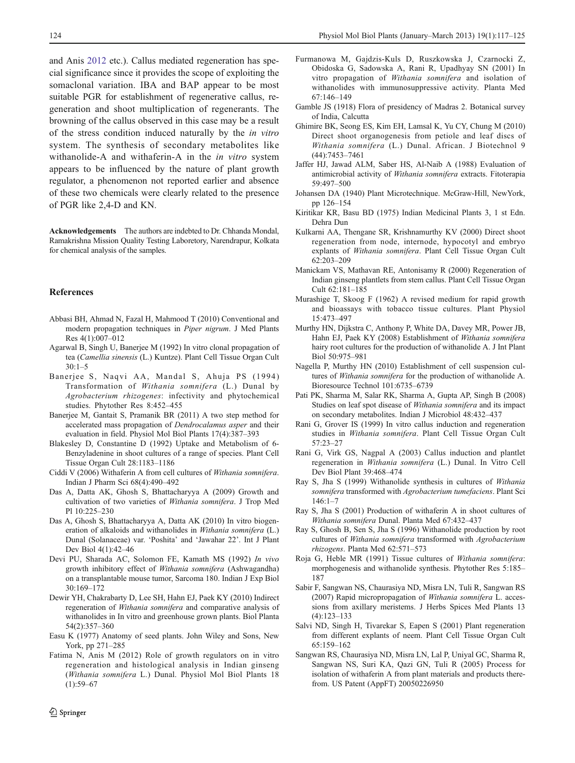<span id="page-7-0"></span>and Anis 2012 etc.). Callus mediated regeneration has special significance since it provides the scope of exploiting the somaclonal variation. IBA and BAP appear to be most suitable PGR for establishment of regenerative callus, regeneration and shoot multiplication of regenerants. The browning of the callus observed in this case may be a result of the stress condition induced naturally by the in vitro system. The synthesis of secondary metabolites like withanolide-A and withaferin-A in the *in vitro* system appears to be influenced by the nature of plant growth regulator, a phenomenon not reported earlier and absence of these two chemicals were clearly related to the presence of PGR like 2,4-D and KN.

Acknowledgements The authors are indebted to Dr. Chhanda Mondal, Ramakrishna Mission Quality Testing Laboretory, Narendrapur, Kolkata for chemical analysis of the samples.

#### References

- Abbasi BH, Ahmad N, Fazal H, Mahmood T (2010) Conventional and modern propagation techniques in Piper nigrum. J Med Plants Res 4(1):007–012
- Agarwal B, Singh U, Banerjee M (1992) In vitro clonal propagation of tea (Camellia sinensis (L.) Kuntze). Plant Cell Tissue Organ Cult  $30.1 - 5$
- Banerjee S, Naqvi AA, Mandal S, Ahuja PS (1994) Transformation of Withania somnifera (L.) Dunal by Agrobacterium rhizogenes: infectivity and phytochemical studies. Phytother Res 8:452–455
- Banerjee M, Gantait S, Pramanik BR (2011) A two step method for accelerated mass propagation of Dendrocalamus asper and their evaluation in field. Physiol Mol Biol Plants 17(4):387–393
- Blakesley D, Constantine D (1992) Uptake and Metabolism of 6- Benzyladenine in shoot cultures of a range of species. Plant Cell Tissue Organ Cult 28:1183–1186
- Ciddi V (2006) Withaferin A from cell cultures of Withania somnifera. Indian J Pharm Sci 68(4):490–492
- Das A, Datta AK, Ghosh S, Bhattacharyya A (2009) Growth and cultivation of two varieties of Withania somnifera. J Trop Med Pl 10:225–230
- Das A, Ghosh S, Bhattacharyya A, Datta AK (2010) In vitro biogeneration of alkaloids and withanolides in Withania somnifera (L.) Dunal (Solanaceae) var. 'Poshita' and 'Jawahar 22'. Int J Plant Dev Biol 4(1):42–46
- Devi PU, Sharada AC, Solomon FE, Kamath MS (1992) In vivo growth inhibitory effect of Withania somnifera (Ashwagandha) on a transplantable mouse tumor, Sarcoma 180. Indian J Exp Biol  $30:169 - 172$
- Dewir YH, Chakrabarty D, Lee SH, Hahn EJ, Paek KY (2010) Indirect regeneration of Withania somnifera and comparative analysis of withanolides in In vitro and greenhouse grown plants. Biol Planta 54(2):357–360
- Easu K (1977) Anatomy of seed plants. John Wiley and Sons, New York, pp 271–285
- Fatima N, Anis M (2012) Role of growth regulators on in vitro regeneration and histological analysis in Indian ginseng (Withania somnifera L.) Dunal. Physiol Mol Biol Plants 18  $(1):59-67$
- Furmanowa M, Gajdzis-Kuls D, Ruszkowska J, Czarnocki Z, Obidoska G, Sadowska A, Rani R, Upadhyay SN (2001) In vitro propagation of Withania somnifera and isolation of withanolides with immunosuppressive activity. Planta Med 67:146–149
- Gamble JS (1918) Flora of presidency of Madras 2. Botanical survey of India, Calcutta
- Ghimire BK, Seong ES, Kim EH, Lamsal K, Yu CY, Chung M (2010) Direct shoot organogenesis from petiole and leaf discs of Withania somnifera (L.) Dunal. African. J Biotechnol 9 (44):7453–7461
- Jaffer HJ, Jawad ALM, Saber HS, Al-Naib A (1988) Evaluation of antimicrobial activity of Withania somnifera extracts. Fitoterapia 59:497–500
- Johansen DA (1940) Plant Microtechnique. McGraw-Hill, NewYork, pp 126–154
- Kiritikar KR, Basu BD (1975) Indian Medicinal Plants 3, 1 st Edn. Dehra Dun
- Kulkarni AA, Thengane SR, Krishnamurthy KV (2000) Direct shoot regeneration from node, internode, hypocotyl and embryo explants of Withania somnifera. Plant Cell Tissue Organ Cult 62:203–209
- Manickam VS, Mathavan RE, Antonisamy R (2000) Regeneration of Indian ginseng plantlets from stem callus. Plant Cell Tissue Organ Cult 62:181–185
- Murashige T, Skoog F (1962) A revised medium for rapid growth and bioassays with tobacco tissue cultures. Plant Physiol 15:473–497
- Murthy HN, Dijkstra C, Anthony P, White DA, Davey MR, Power JB, Hahn EJ, Paek KY (2008) Establishment of Withania somnifera hairy root cultures for the production of withanolide A. J Int Plant Biol 50:975–981
- Nagella P, Murthy HN (2010) Establishment of cell suspension cultures of Withania somnifera for the production of withanolide A. Bioresource Technol 101:6735–6739
- Pati PK, Sharma M, Salar RK, Sharma A, Gupta AP, Singh B (2008) Studies on leaf spot disease of Withania somnifera and its impact on secondary metabolites. Indian J Microbiol 48:432–437
- Rani G, Grover IS (1999) In vitro callus induction and regeneration studies in Withania somnifera. Plant Cell Tissue Organ Cult 57:23–27
- Rani G, Virk GS, Nagpal A (2003) Callus induction and plantlet regeneration in Withania somnifera (L.) Dunal. In Vitro Cell Dev Biol Plant 39:468–474
- Ray S, Jha S (1999) Withanolide synthesis in cultures of Withania somnifera transformed with Agrobacterium tumefaciens. Plant Sci 146:1–7
- Ray S, Jha S (2001) Production of withaferin A in shoot cultures of Withania somnifera Dunal. Planta Med 67:432–437
- Ray S, Ghosh B, Sen S, Jha S (1996) Withanolide production by root cultures of Withania somnifera transformed with Agrobacterium rhizogens. Planta Med 62:571–573
- Roja G, Heble MR (1991) Tissue cultures of Withania somnifera: morphogenesis and withanolide synthesis. Phytother Res 5:185– 187
- Sabir F, Sangwan NS, Chaurasiya ND, Misra LN, Tuli R, Sangwan RS (2007) Rapid micropropagation of Withania somnifera L. accessions from axillary meristems. J Herbs Spices Med Plants 13 (4):123–133
- Salvi ND, Singh H, Tivarekar S, Eapen S (2001) Plant regeneration from different explants of neem. Plant Cell Tissue Organ Cult 65:159–162
- Sangwan RS, Chaurasiya ND, Misra LN, Lal P, Uniyal GC, Sharma R, Sangwan NS, Suri KA, Qazi GN, Tuli R (2005) Process for isolation of withaferin A from plant materials and products therefrom. US Patent (AppFT) 20050226950